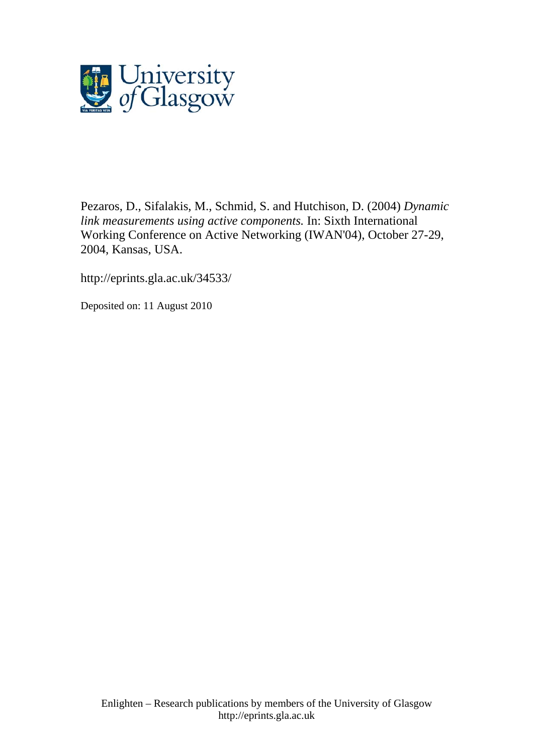

[Pezaros, D.](http://eprints.gla.ac.uk/view/author/5079.html), Sifalakis, M., Schmid, S. and Hutchison, D. (2004) *Dynamic link measurements using active components.* In: Sixth International Working Conference on Active Networking (IWAN'04), October 27-29, 2004, Kansas, USA.

http://eprints.gla.ac.uk/34533/

Deposited on: 11 August 2010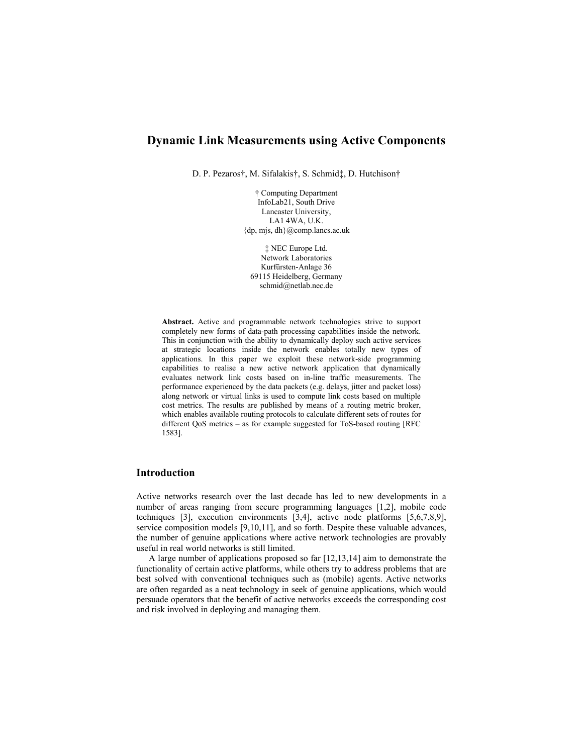# **Dynamic Link Measurements using Active Components**

D. P. Pezaros†, M. Sifalakis†, S. Schmid‡, D. Hutchison†

† Computing Department InfoLab21, South Drive Lancaster University, LA1 4WA, U.K. {dp, mjs, dh}@comp.lancs.ac.uk

‡ NEC Europe Ltd. Network Laboratories Kurfürsten-Anlage 36 69115 Heidelberg, Germany schmid@netlab.nec.de

**Abstract.** Active and programmable network technologies strive to support completely new forms of data-path processing capabilities inside the network. This in conjunction with the ability to dynamically deploy such active services at strategic locations inside the network enables totally new types of applications. In this paper we exploit these network-side programming capabilities to realise a new active network application that dynamically evaluates network link costs based on in-line traffic measurements. The performance experienced by the data packets (e.g. delays, jitter and packet loss) along network or virtual links is used to compute link costs based on multiple cost metrics. The results are published by means of a routing metric broker, which enables available routing protocols to calculate different sets of routes for different QoS metrics – as for example suggested for ToS-based routing [RFC 1583].

### **Introduction**

Active networks research over the last decade has led to new developments in a number of areas ranging from secure programming languages [1,2], mobile code techniques [3], execution environments [3,4], active node platforms [5,6,7,8,9], service composition models [9,10,11], and so forth. Despite these valuable advances, the number of genuine applications where active network technologies are provably useful in real world networks is still limited.

 A large number of applications proposed so far [12,13,14] aim to demonstrate the functionality of certain active platforms, while others try to address problems that are best solved with conventional techniques such as (mobile) agents. Active networks are often regarded as a neat technology in seek of genuine applications, which would persuade operators that the benefit of active networks exceeds the corresponding cost and risk involved in deploying and managing them.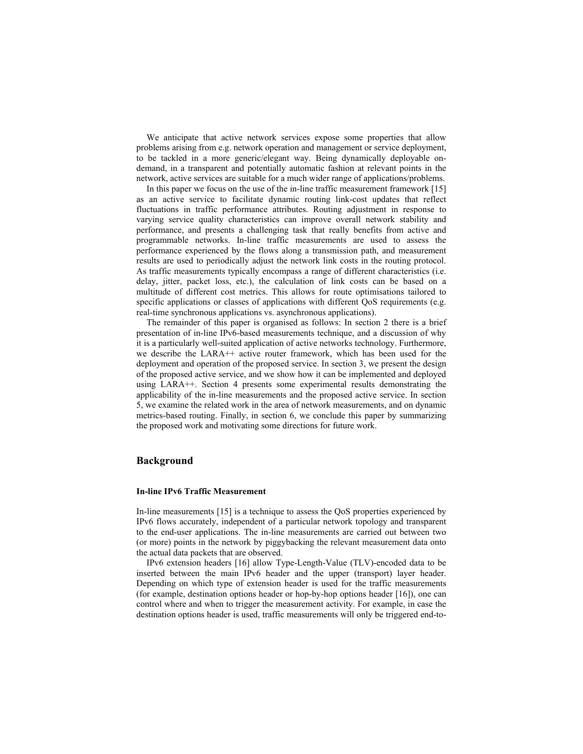We anticipate that active network services expose some properties that allow problems arising from e.g. network operation and management or service deployment, to be tackled in a more generic/elegant way. Being dynamically deployable ondemand, in a transparent and potentially automatic fashion at relevant points in the network, active services are suitable for a much wider range of applications/problems.

In this paper we focus on the use of the in-line traffic measurement framework [15] as an active service to facilitate dynamic routing link-cost updates that reflect fluctuations in traffic performance attributes. Routing adjustment in response to varying service quality characteristics can improve overall network stability and performance, and presents a challenging task that really benefits from active and programmable networks. In-line traffic measurements are used to assess the performance experienced by the flows along a transmission path, and measurement results are used to periodically adjust the network link costs in the routing protocol. As traffic measurements typically encompass a range of different characteristics (i.e. delay, jitter, packet loss, etc.), the calculation of link costs can be based on a multitude of different cost metrics. This allows for route optimisations tailored to specific applications or classes of applications with different QoS requirements (e.g. real-time synchronous applications vs. asynchronous applications).

The remainder of this paper is organised as follows: In section 2 there is a brief presentation of in-line IPv6-based measurements technique, and a discussion of why it is a particularly well-suited application of active networks technology. Furthermore, we describe the LARA++ active router framework, which has been used for the deployment and operation of the proposed service. In section 3, we present the design of the proposed active service, and we show how it can be implemented and deployed using LARA++. Section 4 presents some experimental results demonstrating the applicability of the in-line measurements and the proposed active service. In section 5, we examine the related work in the area of network measurements, and on dynamic metrics-based routing. Finally, in section 6, we conclude this paper by summarizing the proposed work and motivating some directions for future work.

### **Background**

### **In-line IPv6 Traffic Measurement**

In-line measurements [15] is a technique to assess the QoS properties experienced by IPv6 flows accurately, independent of a particular network topology and transparent to the end-user applications. The in-line measurements are carried out between two (or more) points in the network by piggybacking the relevant measurement data onto the actual data packets that are observed.

IPv6 extension headers [16] allow Type-Length-Value (TLV)-encoded data to be inserted between the main IPv6 header and the upper (transport) layer header. Depending on which type of extension header is used for the traffic measurements (for example, destination options header or hop-by-hop options header [16]), one can control where and when to trigger the measurement activity. For example, in case the destination options header is used, traffic measurements will only be triggered end-to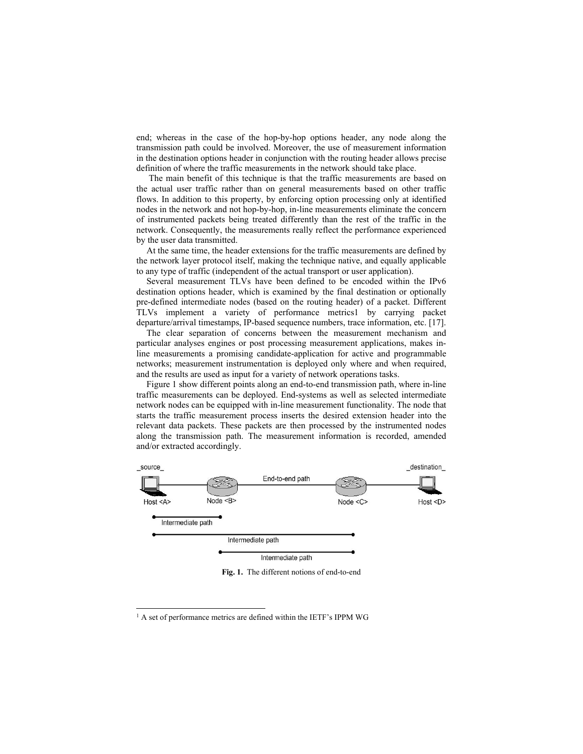end; whereas in the case of the hop-by-hop options header, any node along the transmission path could be involved. Moreover, the use of measurement information in the destination options header in conjunction with the routing header allows precise definition of where the traffic measurements in the network should take place.

 The main benefit of this technique is that the traffic measurements are based on the actual user traffic rather than on general measurements based on other traffic flows. In addition to this property, by enforcing option processing only at identified nodes in the network and not hop-by-hop, in-line measurements eliminate the concern of instrumented packets being treated differently than the rest of the traffic in the network. Consequently, the measurements really reflect the performance experienced by the user data transmitted.

At the same time, the header extensions for the traffic measurements are defined by the network layer protocol itself, making the technique native, and equally applicable to any type of traffic (independent of the actual transport or user application).

Several measurement TLVs have been defined to be encoded within the IPv6 destination options header, which is examined by the final destination or optionally pre-defined intermediate nodes (based on the routing header) of a packet. Different TLVs implement a variety of performance metrics1 by carrying packet departure/arrival timestamps, IP-based sequence numbers, trace information, etc. [17].

The clear separation of concerns between the measurement mechanism and particular analyses engines or post processing measurement applications, makes inline measurements a promising candidate-application for active and programmable networks; measurement instrumentation is deployed only where and when required, and the results are used as input for a variety of network operations tasks.

Figure 1 show different points along an end-to-end transmission path, where in-line traffic measurements can be deployed. End-systems as well as selected intermediate network nodes can be equipped with in-line measurement functionality. The node that starts the traffic measurement process inserts the desired extension header into the relevant data packets. These packets are then processed by the instrumented nodes along the transmission path. The measurement information is recorded, amended and/or extracted accordingly.



**Fig. 1.** The different notions of end-to-end

 $\overline{a}$ 

<sup>&</sup>lt;sup>1</sup> A set of performance metrics are defined within the IETF's IPPM WG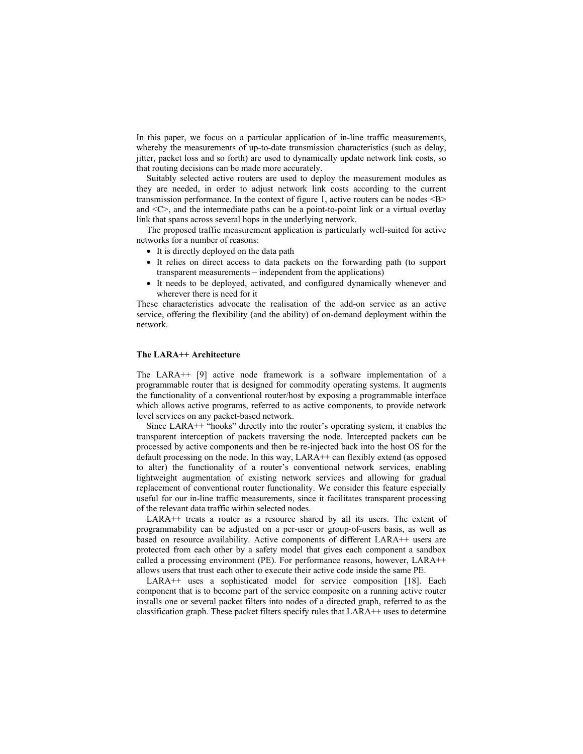In this paper, we focus on a particular application of in-line traffic measurements, whereby the measurements of up-to-date transmission characteristics (such as delay, jitter, packet loss and so forth) are used to dynamically update network link costs, so that routing decisions can be made more accurately.

Suitably selected active routers are used to deploy the measurement modules as they are needed, in order to adjust network link costs according to the current transmission performance. In the context of figure 1, active routers can be nodes <B> and <C>, and the intermediate paths can be a point-to-point link or a virtual overlay link that spans across several hops in the underlying network.

The proposed traffic measurement application is particularly well-suited for active networks for a number of reasons:

- It is directly deployed on the data path
- It relies on direct access to data packets on the forwarding path (to support transparent measurements – independent from the applications)
- It needs to be deployed, activated, and configured dynamically whenever and wherever there is need for it

These characteristics advocate the realisation of the add-on service as an active service, offering the flexibility (and the ability) of on-demand deployment within the network.

### **The LARA++ Architecture**

The LARA++ [9] active node framework is a software implementation of a programmable router that is designed for commodity operating systems. It augments the functionality of a conventional router/host by exposing a programmable interface which allows active programs, referred to as active components, to provide network level services on any packet-based network.

Since LARA++ "hooks" directly into the router's operating system, it enables the transparent interception of packets traversing the node. Intercepted packets can be processed by active components and then be re-injected back into the host OS for the default processing on the node. In this way, LARA++ can flexibly extend (as opposed to alter) the functionality of a router's conventional network services, enabling lightweight augmentation of existing network services and allowing for gradual replacement of conventional router functionality. We consider this feature especially useful for our in-line traffic measurements, since it facilitates transparent processing of the relevant data traffic within selected nodes.

LARA++ treats a router as a resource shared by all its users. The extent of programmability can be adjusted on a per-user or group-of-users basis, as well as based on resource availability. Active components of different LARA++ users are protected from each other by a safety model that gives each component a sandbox called a processing environment (PE). For performance reasons, however, LARA++ allows users that trust each other to execute their active code inside the same PE.

LARA++ uses a sophisticated model for service composition [18]. Each component that is to become part of the service composite on a running active router installs one or several packet filters into nodes of a directed graph, referred to as the classification graph. These packet filters specify rules that LARA++ uses to determine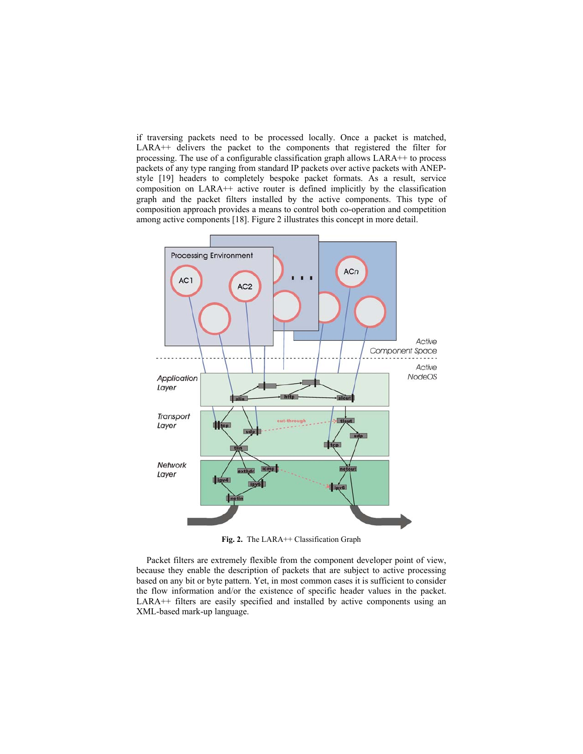if traversing packets need to be processed locally. Once a packet is matched, LARA++ delivers the packet to the components that registered the filter for processing. The use of a configurable classification graph allows LARA++ to process packets of any type ranging from standard IP packets over active packets with ANEPstyle [19] headers to completely bespoke packet formats. As a result, service composition on LARA++ active router is defined implicitly by the classification graph and the packet filters installed by the active components. This type of composition approach provides a means to control both co-operation and competition among active components [18]. Figure 2 illustrates this concept in more detail.



**Fig. 2.** The LARA++ Classification Graph

Packet filters are extremely flexible from the component developer point of view, because they enable the description of packets that are subject to active processing based on any bit or byte pattern. Yet, in most common cases it is sufficient to consider the flow information and/or the existence of specific header values in the packet. LARA++ filters are easily specified and installed by active components using an XML-based mark-up language.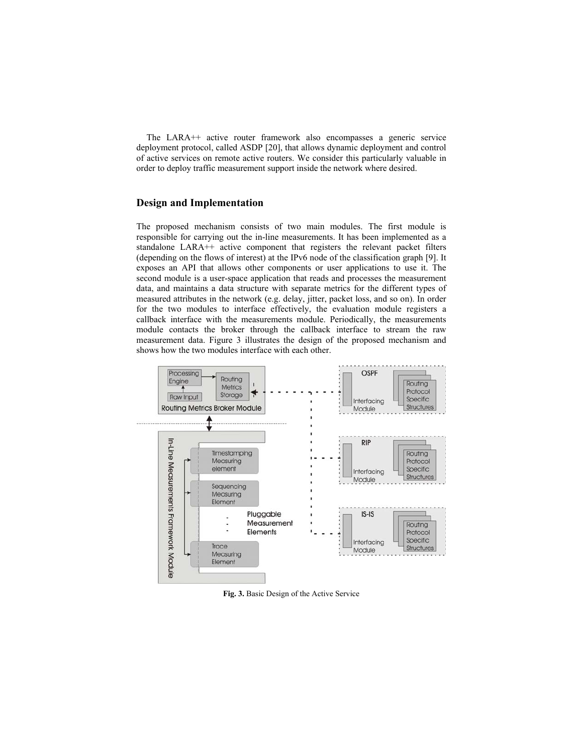The LARA++ active router framework also encompasses a generic service deployment protocol, called ASDP [20], that allows dynamic deployment and control of active services on remote active routers. We consider this particularly valuable in order to deploy traffic measurement support inside the network where desired.

### **Design and Implementation**

The proposed mechanism consists of two main modules. The first module is responsible for carrying out the in-line measurements. It has been implemented as a standalone LARA++ active component that registers the relevant packet filters (depending on the flows of interest) at the IPv6 node of the classification graph [9]. It exposes an API that allows other components or user applications to use it. The second module is a user-space application that reads and processes the measurement data, and maintains a data structure with separate metrics for the different types of measured attributes in the network (e.g. delay, jitter, packet loss, and so on). In order for the two modules to interface effectively, the evaluation module registers a callback interface with the measurements module. Periodically, the measurements module contacts the broker through the callback interface to stream the raw measurement data. Figure 3 illustrates the design of the proposed mechanism and shows how the two modules interface with each other.



**Fig. 3.** Basic Design of the Active Service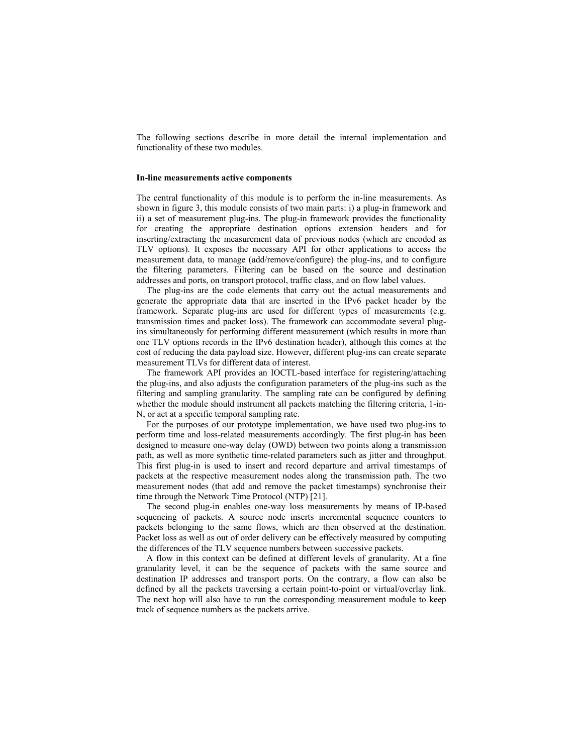The following sections describe in more detail the internal implementation and functionality of these two modules.

#### **In-line measurements active components**

The central functionality of this module is to perform the in-line measurements. As shown in figure 3, this module consists of two main parts: i) a plug-in framework and ii) a set of measurement plug-ins. The plug-in framework provides the functionality for creating the appropriate destination options extension headers and for inserting/extracting the measurement data of previous nodes (which are encoded as TLV options). It exposes the necessary API for other applications to access the measurement data, to manage (add/remove/configure) the plug-ins, and to configure the filtering parameters. Filtering can be based on the source and destination addresses and ports, on transport protocol, traffic class, and on flow label values.

The plug-ins are the code elements that carry out the actual measurements and generate the appropriate data that are inserted in the IPv6 packet header by the framework. Separate plug-ins are used for different types of measurements (e.g. transmission times and packet loss). The framework can accommodate several plugins simultaneously for performing different measurement (which results in more than one TLV options records in the IPv6 destination header), although this comes at the cost of reducing the data payload size. However, different plug-ins can create separate measurement TLVs for different data of interest.

The framework API provides an IOCTL-based interface for registering/attaching the plug-ins, and also adjusts the configuration parameters of the plug-ins such as the filtering and sampling granularity. The sampling rate can be configured by defining whether the module should instrument all packets matching the filtering criteria, 1-in-N, or act at a specific temporal sampling rate.

For the purposes of our prototype implementation, we have used two plug-ins to perform time and loss-related measurements accordingly. The first plug-in has been designed to measure one-way delay (OWD) between two points along a transmission path, as well as more synthetic time-related parameters such as jitter and throughput. This first plug-in is used to insert and record departure and arrival timestamps of packets at the respective measurement nodes along the transmission path. The two measurement nodes (that add and remove the packet timestamps) synchronise their time through the Network Time Protocol (NTP) [21].

The second plug-in enables one-way loss measurements by means of IP-based sequencing of packets. A source node inserts incremental sequence counters to packets belonging to the same flows, which are then observed at the destination. Packet loss as well as out of order delivery can be effectively measured by computing the differences of the TLV sequence numbers between successive packets.

A flow in this context can be defined at different levels of granularity. At a fine granularity level, it can be the sequence of packets with the same source and destination IP addresses and transport ports. On the contrary, a flow can also be defined by all the packets traversing a certain point-to-point or virtual/overlay link. The next hop will also have to run the corresponding measurement module to keep track of sequence numbers as the packets arrive.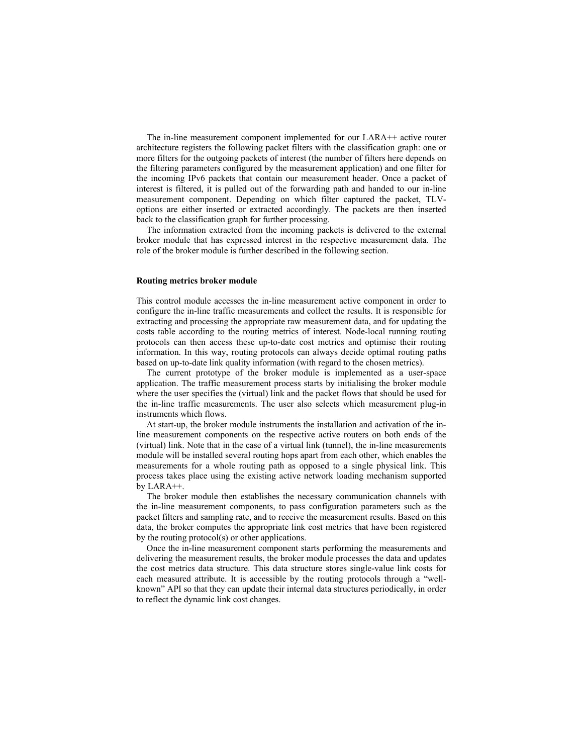The in-line measurement component implemented for our LARA++ active router architecture registers the following packet filters with the classification graph: one or more filters for the outgoing packets of interest (the number of filters here depends on the filtering parameters configured by the measurement application) and one filter for the incoming IPv6 packets that contain our measurement header. Once a packet of interest is filtered, it is pulled out of the forwarding path and handed to our in-line measurement component. Depending on which filter captured the packet, TLVoptions are either inserted or extracted accordingly. The packets are then inserted back to the classification graph for further processing.

The information extracted from the incoming packets is delivered to the external broker module that has expressed interest in the respective measurement data. The role of the broker module is further described in the following section.

#### **Routing metrics broker module**

This control module accesses the in-line measurement active component in order to configure the in-line traffic measurements and collect the results. It is responsible for extracting and processing the appropriate raw measurement data, and for updating the costs table according to the routing metrics of interest. Node-local running routing protocols can then access these up-to-date cost metrics and optimise their routing information. In this way, routing protocols can always decide optimal routing paths based on up-to-date link quality information (with regard to the chosen metrics).

The current prototype of the broker module is implemented as a user-space application. The traffic measurement process starts by initialising the broker module where the user specifies the (virtual) link and the packet flows that should be used for the in-line traffic measurements. The user also selects which measurement plug-in instruments which flows.

At start-up, the broker module instruments the installation and activation of the inline measurement components on the respective active routers on both ends of the (virtual) link. Note that in the case of a virtual link (tunnel), the in-line measurements module will be installed several routing hops apart from each other, which enables the measurements for a whole routing path as opposed to a single physical link. This process takes place using the existing active network loading mechanism supported by LARA++.

The broker module then establishes the necessary communication channels with the in-line measurement components, to pass configuration parameters such as the packet filters and sampling rate, and to receive the measurement results. Based on this data, the broker computes the appropriate link cost metrics that have been registered by the routing protocol(s) or other applications.

Once the in-line measurement component starts performing the measurements and delivering the measurement results, the broker module processes the data and updates the cost metrics data structure. This data structure stores single-value link costs for each measured attribute. It is accessible by the routing protocols through a "wellknown" API so that they can update their internal data structures periodically, in order to reflect the dynamic link cost changes.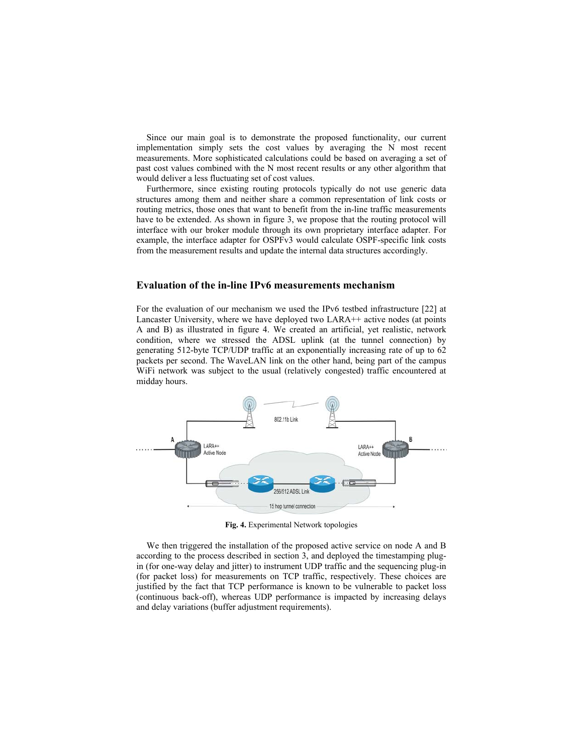Since our main goal is to demonstrate the proposed functionality, our current implementation simply sets the cost values by averaging the N most recent measurements. More sophisticated calculations could be based on averaging a set of past cost values combined with the N most recent results or any other algorithm that would deliver a less fluctuating set of cost values.

Furthermore, since existing routing protocols typically do not use generic data structures among them and neither share a common representation of link costs or routing metrics, those ones that want to benefit from the in-line traffic measurements have to be extended. As shown in figure 3, we propose that the routing protocol will interface with our broker module through its own proprietary interface adapter. For example, the interface adapter for OSPFv3 would calculate OSPF-specific link costs from the measurement results and update the internal data structures accordingly.

## **Evaluation of the in-line IPv6 measurements mechanism**

For the evaluation of our mechanism we used the IPv6 testbed infrastructure [22] at Lancaster University, where we have deployed two LARA++ active nodes (at points A and B) as illustrated in figure 4. We created an artificial, yet realistic, network condition, where we stressed the ADSL uplink (at the tunnel connection) by generating 512-byte TCP/UDP traffic at an exponentially increasing rate of up to 62 packets per second. The WaveLAN link on the other hand, being part of the campus WiFi network was subject to the usual (relatively congested) traffic encountered at midday hours.



**Fig. 4.** Experimental Network topologies

We then triggered the installation of the proposed active service on node A and B according to the process described in section 3, and deployed the timestamping plugin (for one-way delay and jitter) to instrument UDP traffic and the sequencing plug-in (for packet loss) for measurements on TCP traffic, respectively. These choices are justified by the fact that TCP performance is known to be vulnerable to packet loss (continuous back-off), whereas UDP performance is impacted by increasing delays and delay variations (buffer adjustment requirements).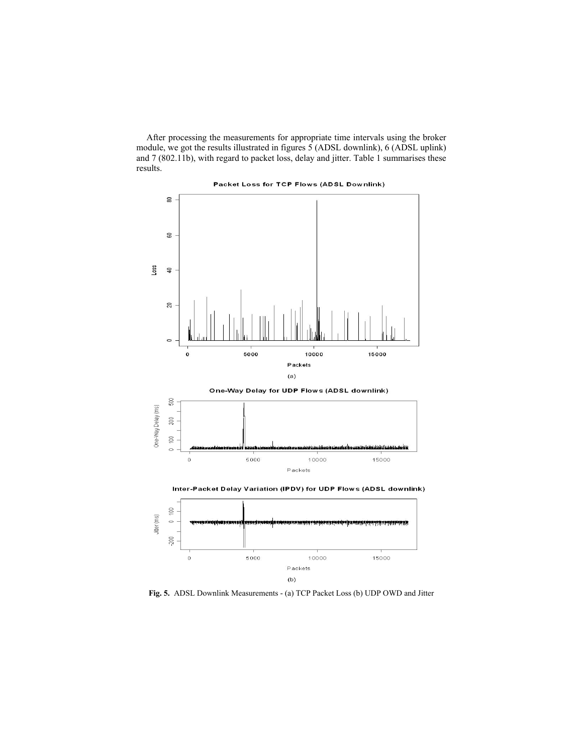After processing the measurements for appropriate time intervals using the broker module, we got the results illustrated in figures  $\frac{1}{2}$  (ADSL downlink), 6 (ADSL uplink) and 7 (802.11b), with regard to packet loss, delay and jitter. Table 1 summarises these results.





Inter-Packet Delay Variation (IPDV) for UDP Flows (ADSL downlink)



**Fig. 5.** ADSL Downlink Measurements - (a) TCP Packet Loss (b) UDP OWD and Jitter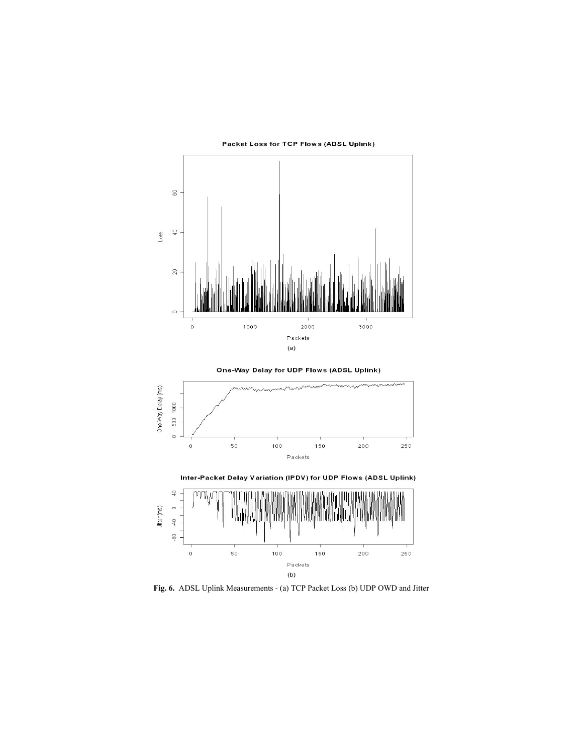



One-Way Delay for UDP Flows (ADSL Uplink)



Inter-Packet Delay Variation (IPDV) for UDP Flows (ADSL Uplink)



**Fig. 6.** ADSL Uplink Measurements - (a) TCP Packet Loss (b) UDP OWD and Jitter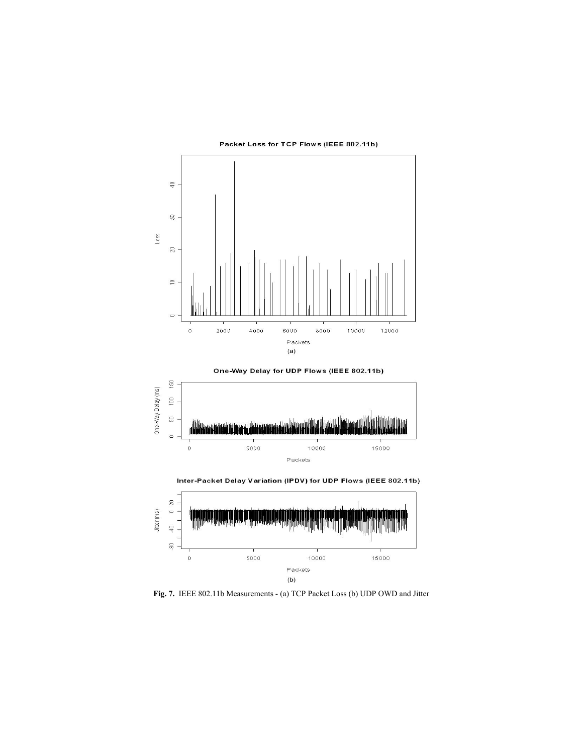





**Fig. 7.** IEEE 802.11b Measurements - (a) TCP Packet Loss (b) UDP OWD and Jitter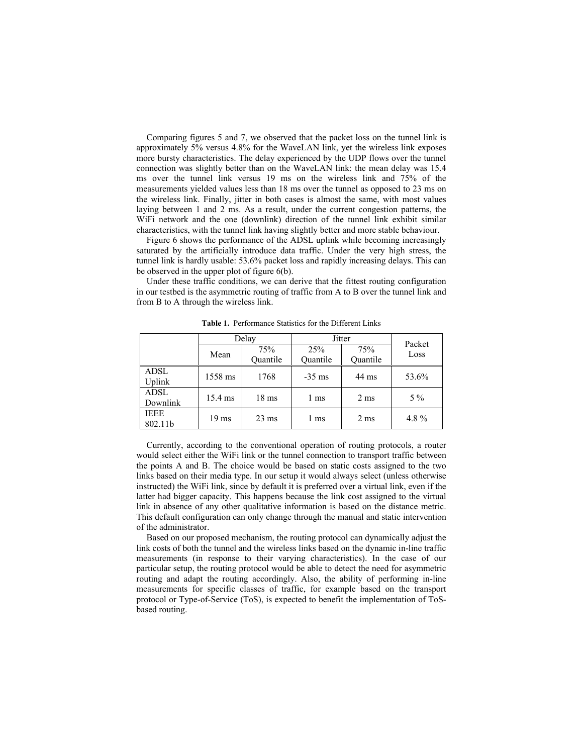Comparing figures 5 and 7, we observed that the packet loss on the tunnel link is approximately 5% versus 4.8% for the WaveLAN link, yet the wireless link exposes more bursty characteristics. The delay experienced by the UDP flows over the tunnel connection was slightly better than on the WaveLAN link: the mean delay was 15.4 ms over the tunnel link versus 19 ms on the wireless link and 75% of the measurements yielded values less than 18 ms over the tunnel as opposed to 23 ms on the wireless link. Finally, jitter in both cases is almost the same, with most values laying between 1 and 2 ms. As a result, under the current congestion patterns, the WiFi network and the one (downlink) direction of the tunnel link exhibit similar characteristics, with the tunnel link having slightly better and more stable behaviour.

Figure 6 shows the performance of the ADSL uplink while becoming increasingly saturated by the artificially introduce data traffic. Under the very high stress, the tunnel link is hardly usable: 53.6% packet loss and rapidly increasing delays. This can be observed in the upper plot of figure 6(b).

Under these traffic conditions, we can derive that the fittest routing configuration in our testbed is the asymmetric routing of traffic from A to B over the tunnel link and from B to A through the wireless link.

|                        | Delay             |                 | Jitter          |                 | Packet |
|------------------------|-------------------|-----------------|-----------------|-----------------|--------|
|                        | Mean              | 75%<br>Quantile | 25%<br>Quantile | 75%<br>Quantile | Loss   |
| <b>ADSL</b><br>Uplink  | 1558 ms           | 1768            | $-35$ ms        | 44 ms           | 53.6%  |
| ADSL<br>Downlink       | $15.4 \text{ ms}$ | $18 \text{ ms}$ | ms              | $2 \text{ ms}$  | $5\%$  |
| <b>IEEE</b><br>802.11b | $19 \text{ ms}$   | $23 \text{ ms}$ | ms              | $2 \text{ ms}$  | 4.8%   |

**Table 1.** Performance Statistics for the Different Links

Currently, according to the conventional operation of routing protocols, a router would select either the WiFi link or the tunnel connection to transport traffic between the points A and B. The choice would be based on static costs assigned to the two links based on their media type. In our setup it would always select (unless otherwise instructed) the WiFi link, since by default it is preferred over a virtual link, even if the latter had bigger capacity. This happens because the link cost assigned to the virtual link in absence of any other qualitative information is based on the distance metric. This default configuration can only change through the manual and static intervention of the administrator.

Based on our proposed mechanism, the routing protocol can dynamically adjust the link costs of both the tunnel and the wireless links based on the dynamic in-line traffic measurements (in response to their varying characteristics). In the case of our particular setup, the routing protocol would be able to detect the need for asymmetric routing and adapt the routing accordingly. Also, the ability of performing in-line measurements for specific classes of traffic, for example based on the transport protocol or Type-of-Service (ToS), is expected to benefit the implementation of ToSbased routing.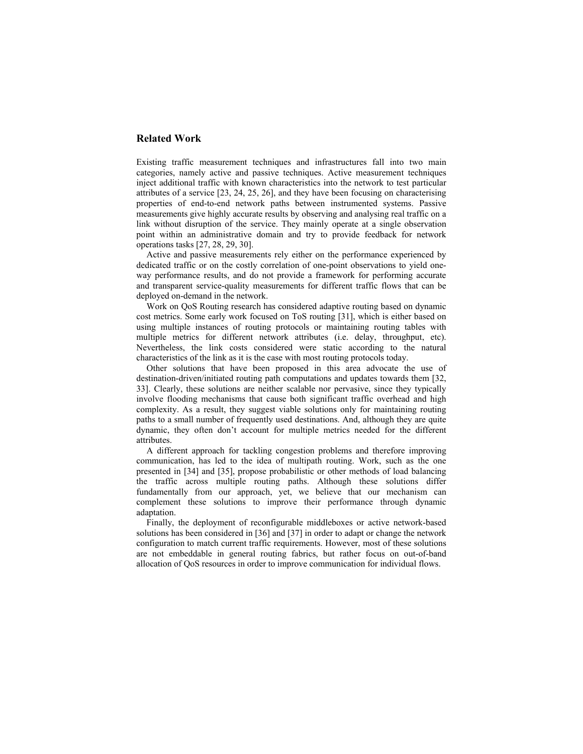### **Related Work**

Existing traffic measurement techniques and infrastructures fall into two main categories, namely active and passive techniques. Active measurement techniques inject additional traffic with known characteristics into the network to test particular attributes of a service [23, 24, 25, 26], and they have been focusing on characterising properties of end-to-end network paths between instrumented systems. Passive measurements give highly accurate results by observing and analysing real traffic on a link without disruption of the service. They mainly operate at a single observation point within an administrative domain and try to provide feedback for network operations tasks [27, 28, 29, 30].

Active and passive measurements rely either on the performance experienced by dedicated traffic or on the costly correlation of one-point observations to yield oneway performance results, and do not provide a framework for performing accurate and transparent service-quality measurements for different traffic flows that can be deployed on-demand in the network.

Work on QoS Routing research has considered adaptive routing based on dynamic cost metrics. Some early work focused on ToS routing [31], which is either based on using multiple instances of routing protocols or maintaining routing tables with multiple metrics for different network attributes (i.e. delay, throughput, etc). Nevertheless, the link costs considered were static according to the natural characteristics of the link as it is the case with most routing protocols today.

Other solutions that have been proposed in this area advocate the use of destination-driven/initiated routing path computations and updates towards them [32, 33]. Clearly, these solutions are neither scalable nor pervasive, since they typically involve flooding mechanisms that cause both significant traffic overhead and high complexity. As a result, they suggest viable solutions only for maintaining routing paths to a small number of frequently used destinations. And, although they are quite dynamic, they often don't account for multiple metrics needed for the different attributes.

A different approach for tackling congestion problems and therefore improving communication, has led to the idea of multipath routing. Work, such as the one presented in [34] and [35], propose probabilistic or other methods of load balancing the traffic across multiple routing paths. Although these solutions differ fundamentally from our approach, yet, we believe that our mechanism can complement these solutions to improve their performance through dynamic adaptation.

Finally, the deployment of reconfigurable middleboxes or active network-based solutions has been considered in [36] and [37] in order to adapt or change the network configuration to match current traffic requirements. However, most of these solutions are not embeddable in general routing fabrics, but rather focus on out-of-band allocation of QoS resources in order to improve communication for individual flows.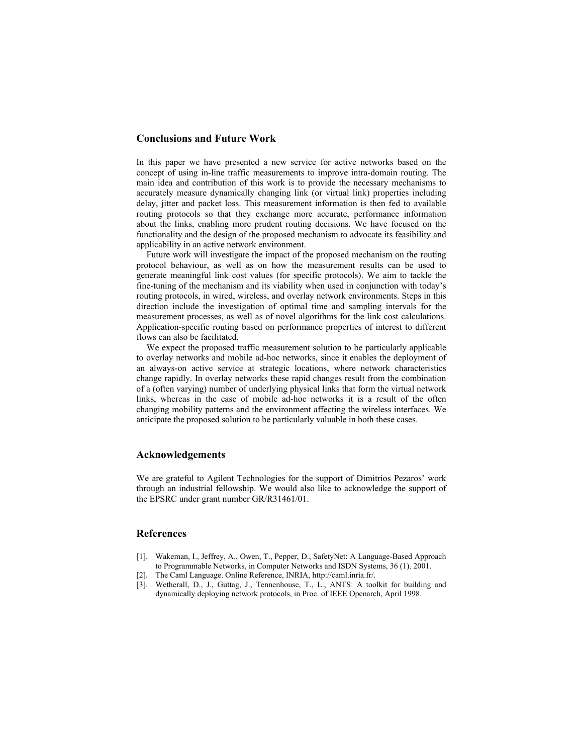## **Conclusions and Future Work**

In this paper we have presented a new service for active networks based on the concept of using in-line traffic measurements to improve intra-domain routing. The main idea and contribution of this work is to provide the necessary mechanisms to accurately measure dynamically changing link (or virtual link) properties including delay, jitter and packet loss. This measurement information is then fed to available routing protocols so that they exchange more accurate, performance information about the links, enabling more prudent routing decisions. We have focused on the functionality and the design of the proposed mechanism to advocate its feasibility and applicability in an active network environment.

Future work will investigate the impact of the proposed mechanism on the routing protocol behaviour, as well as on how the measurement results can be used to generate meaningful link cost values (for specific protocols). We aim to tackle the fine-tuning of the mechanism and its viability when used in conjunction with today's routing protocols, in wired, wireless, and overlay network environments. Steps in this direction include the investigation of optimal time and sampling intervals for the measurement processes, as well as of novel algorithms for the link cost calculations. Application-specific routing based on performance properties of interest to different flows can also be facilitated.

We expect the proposed traffic measurement solution to be particularly applicable to overlay networks and mobile ad-hoc networks, since it enables the deployment of an always-on active service at strategic locations, where network characteristics change rapidly. In overlay networks these rapid changes result from the combination of a (often varying) number of underlying physical links that form the virtual network links, whereas in the case of mobile ad-hoc networks it is a result of the often changing mobility patterns and the environment affecting the wireless interfaces. We anticipate the proposed solution to be particularly valuable in both these cases.

### **Acknowledgements**

We are grateful to Agilent Technologies for the support of Dimitrios Pezaros' work through an industrial fellowship. We would also like to acknowledge the support of the EPSRC under grant number GR/R31461/01.

## **References**

- [1]. Wakeman, I., Jeffrey, A., Owen, T., Pepper, D., SafetyNet: A Language-Based Approach to Programmable Networks, in Computer Networks and ISDN Systems, 36 (1). 2001.
- [2]. The Caml Language. Online Reference, INRIA, http://caml.inria.fr/.
- [3]. Wetherall, D., J., Guttag, J., Tennenhouse, T., L., ANTS: A toolkit for building and dynamically deploying network protocols, in Proc. of IEEE Openarch, April 1998.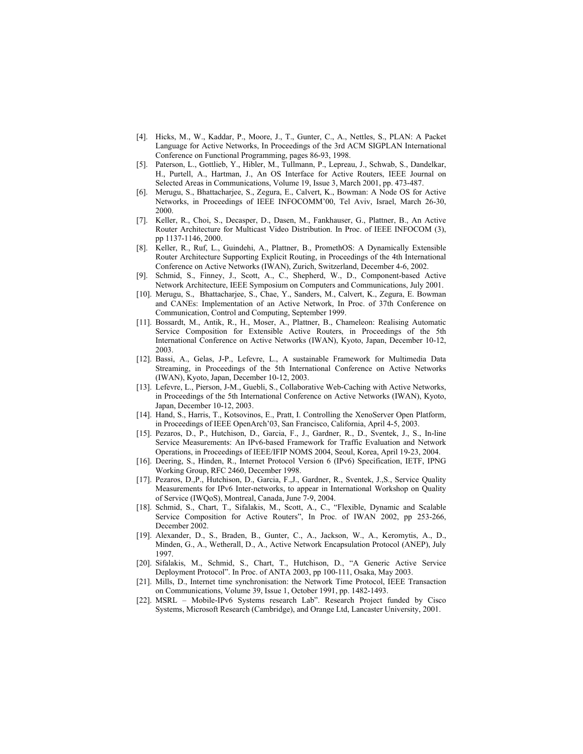- [4]. Hicks, M., W., Kaddar, P., Moore, J., T., Gunter, C., A., Nettles, S., PLAN: A Packet Language for Active Networks, In Proceedings of the 3rd ACM SIGPLAN International Conference on Functional Programming, pages 86-93, 1998.
- [5]. Paterson, L., Gottlieb, Y., Hibler, M., Tullmann, P., Lepreau, J., Schwab, S., Dandelkar, H., Purtell, A., Hartman, J., An OS Interface for Active Routers, IEEE Journal on Selected Areas in Communications, Volume 19, Issue 3, March 2001, pp. 473-487.
- [6]. Merugu, S., Bhattacharjee, S., Zegura, E., Calvert, K., Bowman: A Node OS for Active Networks, in Proceedings of IEEE INFOCOMM'00, Tel Aviv, Israel, March 26-30, 2000.
- [7]. Keller, R., Choi, S., Decasper, D., Dasen, M., Fankhauser, G., Plattner, B., An Active Router Architecture for Multicast Video Distribution. In Proc. of IEEE INFOCOM (3), pp 1137-1146, 2000.
- [8]. Keller, R., Ruf, L., Guindehi, A., Plattner, B., PromethOS: A Dynamically Extensible Router Architecture Supporting Explicit Routing, in Proceedings of the 4th International Conference on Active Networks (IWAN), Zurich, Switzerland, December 4-6, 2002.
- [9]. Schmid, S., Finney, J., Scott, A., C., Shepherd, W., D., Component-based Active Network Architecture, IEEE Symposium on Computers and Communications, July 2001.
- [10]. Merugu, S., Bhattacharjee, S., Chae, Y., Sanders, M., Calvert, K., Zegura, E. Bowman and CANEs: Implementation of an Active Network, In Proc. of 37th Conference on Communication, Control and Computing, September 1999.
- [11]. Bossardt, M., Antik, R., H., Moser, A., Plattner, B., Chameleon: Realising Automatic Service Composition for Extensible Active Routers, in Proceedings of the 5th International Conference on Active Networks (IWAN), Kyoto, Japan, December 10-12, 2003.
- [12]. Bassi, A., Gelas, J-P., Lefevre, L., A sustainable Framework for Multimedia Data Streaming, in Proceedings of the 5th International Conference on Active Networks (IWAN), Kyoto, Japan, December 10-12, 2003.
- [13]. Lefevre, L., Pierson, J-M., Guebli, S., Collaborative Web-Caching with Active Networks, in Proceedings of the 5th International Conference on Active Networks (IWAN), Kyoto, Japan, December 10-12, 2003.
- [14]. Hand, S., Harris, T., Kotsovinos, E., Pratt, I. Controlling the XenoServer Open Platform, in Proceedings of IEEE OpenArch'03, San Francisco, California, April 4-5, 2003.
- [15]. Pezaros, D., P., Hutchison, D., Garcia, F., J., Gardner, R., D., Sventek, J., S., In-line Service Measurements: An IPv6-based Framework for Traffic Evaluation and Network Operations, in Proceedings of IEEE/IFIP NOMS 2004, Seoul, Korea, April 19-23, 2004.
- [16]. Deering, S., Hinden, R., Internet Protocol Version 6 (IPv6) Specification, IETF, IPNG Working Group, RFC 2460, December 1998.
- [17]. Pezaros, D.,P., Hutchison, D., Garcia, F.,J., Gardner, R., Sventek, J.,S., Service Quality Measurements for IPv6 Inter-networks, to appear in International Workshop on Quality of Service (IWQoS), Montreal, Canada, June 7-9, 2004.
- [18]. Schmid, S., Chart, T., Sifalakis, M., Scott, A., C., "Flexible, Dynamic and Scalable Service Composition for Active Routers", In Proc. of IWAN 2002, pp 253-266, December 2002.
- [19]. Alexander, D., S., Braden, B., Gunter, C., A., Jackson, W., A., Keromytis, A., D., Minden, G., A., Wetherall, D., A., Active Network Encapsulation Protocol (ANEP), July 1997.
- [20]. Sifalakis, M., Schmid, S., Chart, T., Hutchison, D., "A Generic Active Service Deployment Protocol". In Proc. of ANTA 2003, pp 100-111, Osaka, May 2003.
- [21]. Mills, D., Internet time synchronisation: the Network Time Protocol, IEEE Transaction on Communications, Volume 39, Issue 1, October 1991, pp. 1482-1493.
- [22]. MSRL Mobile-IPv6 Systems research Lab". Research Project funded by Cisco Systems, Microsoft Research (Cambridge), and Orange Ltd, Lancaster University, 2001.